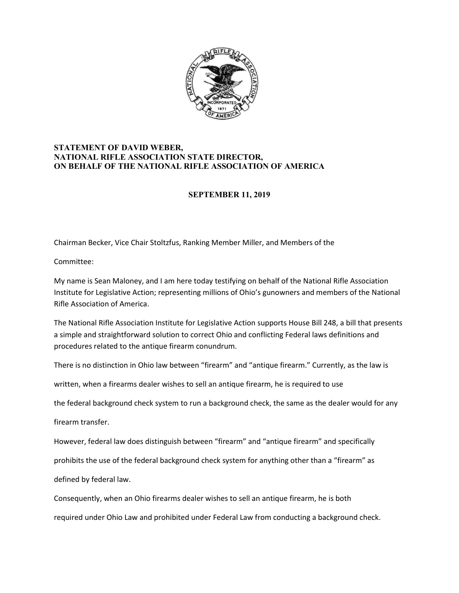

## **STATEMENT OF DAVID WEBER, NATIONAL RIFLE ASSOCIATION STATE DIRECTOR, ON BEHALF OF THE NATIONAL RIFLE ASSOCIATION OF AMERICA**

## **SEPTEMBER 11, 2019**

Chairman Becker, Vice Chair Stoltzfus, Ranking Member Miller, and Members of the

Committee:

My name is Sean Maloney, and I am here today testifying on behalf of the National Rifle Association Institute for Legislative Action; representing millions of Ohio's gunowners and members of the National Rifle Association of America.

The National Rifle Association Institute for Legislative Action supports House Bill 248, a bill that presents a simple and straightforward solution to correct Ohio and conflicting Federal laws definitions and procedures related to the antique firearm conundrum.

There is no distinction in Ohio law between "firearm" and "antique firearm." Currently, as the law is

written, when a firearms dealer wishes to sell an antique firearm, he is required to use

the federal background check system to run a background check, the same as the dealer would for any

firearm transfer.

However, federal law does distinguish between "firearm" and "antique firearm" and specifically

prohibits the use of the federal background check system for anything other than a "firearm" as

defined by federal law.

Consequently, when an Ohio firearms dealer wishes to sell an antique firearm, he is both

required under Ohio Law and prohibited under Federal Law from conducting a background check.